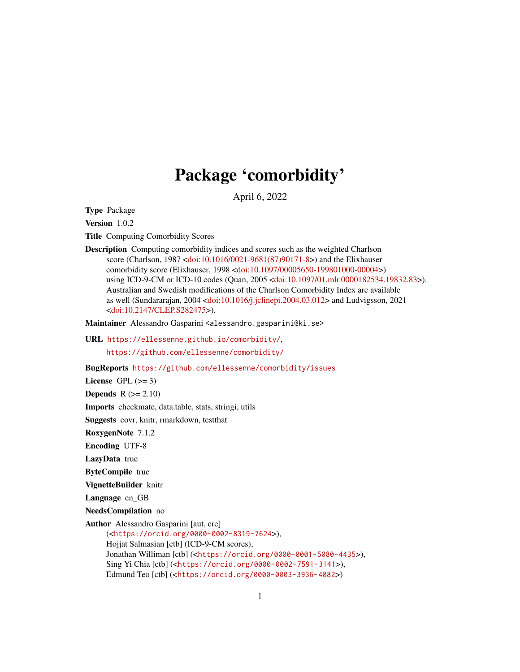## Package 'comorbidity'

April 6, 2022

<span id="page-0-0"></span>Type Package

Version 1.0.2

Title Computing Comorbidity Scores

Description Computing comorbidity indices and scores such as the weighted Charlson score (Charlson, 1987 [<doi:10.1016/0021-9681\(87\)90171-8>](https://doi.org/10.1016/0021-9681(87)90171-8)) and the Elixhauser comorbidity score (Elixhauser, 1998 [<doi:10.1097/00005650-199801000-00004>](https://doi.org/10.1097/00005650-199801000-00004)) using ICD-9-CM or ICD-10 codes (Quan, 2005 [<doi:10.1097/01.mlr.0000182534.19832.83>](https://doi.org/10.1097/01.mlr.0000182534.19832.83)). Australian and Swedish modifications of the Charlson Comorbidity Index are available as well (Sundararajan, 2004 [<doi:10.1016/j.jclinepi.2004.03.012>](https://doi.org/10.1016/j.jclinepi.2004.03.012) and Ludvigsson, 2021 [<doi:10.2147/CLEP.S282475>](https://doi.org/10.2147/CLEP.S282475)).

Maintainer Alessandro Gasparini <alessandro.gasparini@ki.se>

URL <https://ellessenne.github.io/comorbidity/>,

<https://github.com/ellessenne/comorbidity/>

BugReports <https://github.com/ellessenne/comorbidity/issues>

License GPL  $(>= 3)$ 

**Depends**  $R (= 2.10)$ 

Imports checkmate, data.table, stats, stringi, utils

Suggests covr, knitr, rmarkdown, testthat

RoxygenNote 7.1.2

Encoding UTF-8

LazyData true

ByteCompile true

VignetteBuilder knitr

Language en\_GB

NeedsCompilation no

Author Alessandro Gasparini [aut, cre]

(<<https://orcid.org/0000-0002-8319-7624>>), Hojjat Salmasian [ctb] (ICD-9-CM scores), Jonathan Williman [ctb] (<<https://orcid.org/0000-0001-5080-4435>>), Sing Yi Chia [ctb] (<<https://orcid.org/0000-0002-7591-3141>>), Edmund Teo [ctb] (<<https://orcid.org/0000-0003-3936-4082>>)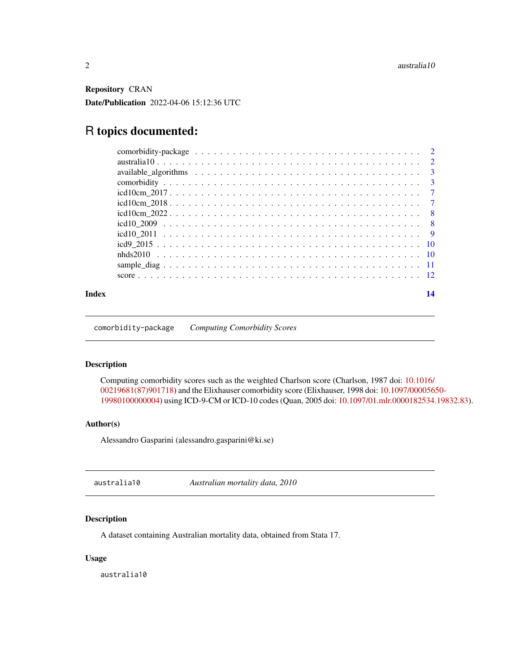<span id="page-1-0"></span>Repository CRAN Date/Publication 2022-04-06 15:12:36 UTC

### R topics documented:

| Index | 14 |
|-------|----|
|       |    |
|       |    |
|       |    |
|       |    |
|       |    |
|       |    |
|       |    |
|       |    |
|       |    |
|       |    |
|       |    |
|       |    |
|       |    |

comorbidity-package *Computing Comorbidity Scores*

#### Description

Computing comorbidity scores such as the weighted Charlson score (Charlson, 1987 doi: [10.1016/](https://doi.org/10.1016/0021-9681(87)90171-8) [00219681\(87\)901718\)](https://doi.org/10.1016/0021-9681(87)90171-8) and the Elixhauser comorbidity score (Elixhauser, 1998 doi: [10.1097/0000565](https://doi.org/10.1097/00005650-199801000-00004)0- [19980100000004\)](https://doi.org/10.1097/00005650-199801000-00004) using ICD-9-CM or ICD-10 codes (Quan, 2005 doi: [10.1097/01.mlr.0000182534.19832.83\)](https://doi.org/10.1097/01.mlr.0000182534.19832.83).

#### Author(s)

Alessandro Gasparini (alessandro.gasparini@ki.se)

australia10 *Australian mortality data, 2010*

#### Description

A dataset containing Australian mortality data, obtained from Stata 17.

#### Usage

australia10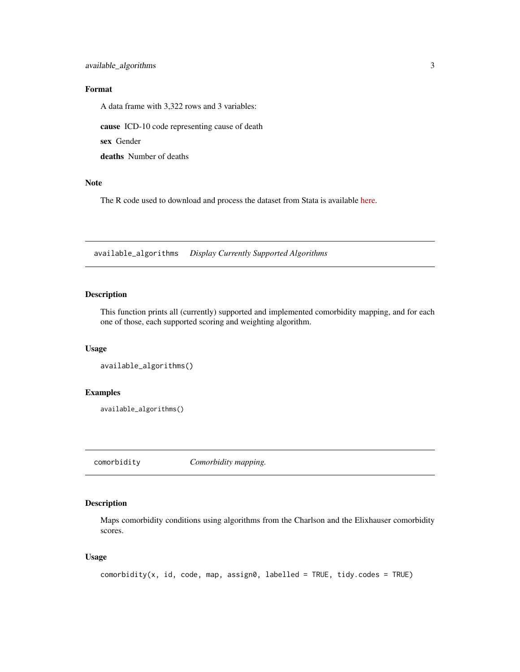#### <span id="page-2-0"></span>Format

A data frame with 3,322 rows and 3 variables:

cause ICD-10 code representing cause of death

sex Gender

deaths Number of deaths

#### Note

The R code used to download and process the dataset from Stata is available [here.](https://raw.githubusercontent.com/ellessenne/comorbidity/master/data-raw/make-data.R)

available\_algorithms *Display Currently Supported Algorithms*

#### Description

This function prints all (currently) supported and implemented comorbidity mapping, and for each one of those, each supported scoring and weighting algorithm.

#### Usage

```
available_algorithms()
```
#### Examples

available\_algorithms()

<span id="page-2-1"></span>comorbidity *Comorbidity mapping.*

#### Description

Maps comorbidity conditions using algorithms from the Charlson and the Elixhauser comorbidity scores.

#### Usage

```
comorbidity(x, id, code, map, assign0, labeled = TRUE, tidy. codes = TRUE)
```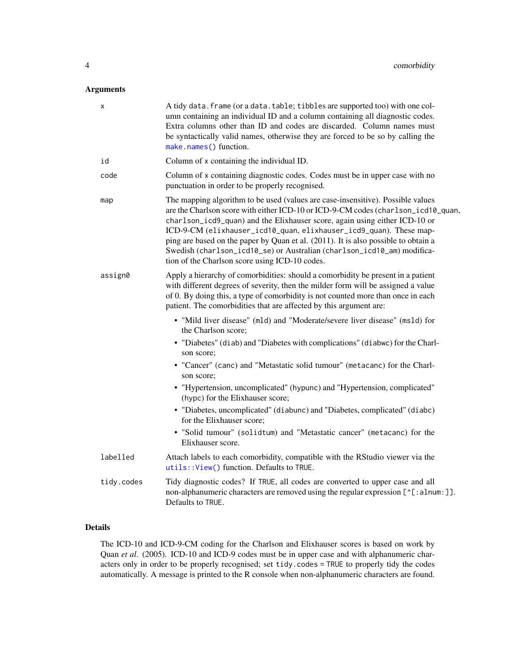#### <span id="page-3-0"></span>Arguments

| x          | A tidy data. frame (or a data. table; tibbles are supported too) with one col-<br>umn containing an individual ID and a column containing all diagnostic codes.<br>Extra columns other than ID and codes are discarded. Column names must<br>be syntactically valid names, otherwise they are forced to be so by calling the<br>make.names() function.                                                                                                                                                                                      |
|------------|---------------------------------------------------------------------------------------------------------------------------------------------------------------------------------------------------------------------------------------------------------------------------------------------------------------------------------------------------------------------------------------------------------------------------------------------------------------------------------------------------------------------------------------------|
| id         | Column of x containing the individual ID.                                                                                                                                                                                                                                                                                                                                                                                                                                                                                                   |
| code       | Column of x containing diagnostic codes. Codes must be in upper case with no<br>punctuation in order to be properly recognised.                                                                                                                                                                                                                                                                                                                                                                                                             |
| map        | The mapping algorithm to be used (values are case-insensitive). Possible values<br>are the Charlson score with either ICD-10 or ICD-9-CM codes (charlson_icd10_quan,<br>charlson_icd9_quan) and the Elixhauser score, again using either ICD-10 or<br>ICD-9-CM (elixhauser_icd10_quan, elixhauser_icd9_quan). These map-<br>ping are based on the paper by Quan et al. (2011). It is also possible to obtain a<br>Swedish (charlson_icd10_se) or Australian (charlson_icd10_am) modifica-<br>tion of the Charlson score using ICD-10 codes. |
| assign0    | Apply a hierarchy of comorbidities: should a comorbidity be present in a patient<br>with different degrees of severity, then the milder form will be assigned a value<br>of 0. By doing this, a type of comorbidity is not counted more than once in each<br>patient. The comorbidities that are affected by this argument are:                                                                                                                                                                                                             |
|            | • "Mild liver disease" (m1d) and "Moderate/severe liver disease" (ms1d) for<br>the Charlson score;                                                                                                                                                                                                                                                                                                                                                                                                                                          |
|            | • "Diabetes" (diab) and "Diabetes with complications" (diabwc) for the Charl-<br>son score;                                                                                                                                                                                                                                                                                                                                                                                                                                                 |
|            | • "Cancer" (canc) and "Metastatic solid tumour" (metacanc) for the Charl-<br>son score;                                                                                                                                                                                                                                                                                                                                                                                                                                                     |
|            | • "Hypertension, uncomplicated" (hypunc) and "Hypertension, complicated"<br>(hypc) for the Elixhauser score;                                                                                                                                                                                                                                                                                                                                                                                                                                |
|            | • "Diabetes, uncomplicated" (diabunc) and "Diabetes, complicated" (diabc)<br>for the Elixhauser score;                                                                                                                                                                                                                                                                                                                                                                                                                                      |
|            | • "Solid tumour" (solidtum) and "Metastatic cancer" (metacanc) for the<br>Elixhauser score.                                                                                                                                                                                                                                                                                                                                                                                                                                                 |
| labelled   | Attach labels to each comorbidity, compatible with the RStudio viewer via the<br>utils:: View() function. Defaults to TRUE.                                                                                                                                                                                                                                                                                                                                                                                                                 |
| tidy.codes | Tidy diagnostic codes? If TRUE, all codes are converted to upper case and all<br>non-alphanumeric characters are removed using the regular expression [^[:alnum:]].<br>Defaults to TRUE.                                                                                                                                                                                                                                                                                                                                                    |
|            |                                                                                                                                                                                                                                                                                                                                                                                                                                                                                                                                             |

#### Details

The ICD-10 and ICD-9-CM coding for the Charlson and Elixhauser scores is based on work by Quan *et al*. (2005). ICD-10 and ICD-9 codes must be in upper case and with alphanumeric characters only in order to be properly recognised; set tidy.codes = TRUE to properly tidy the codes automatically. A message is printed to the R console when non-alphanumeric characters are found.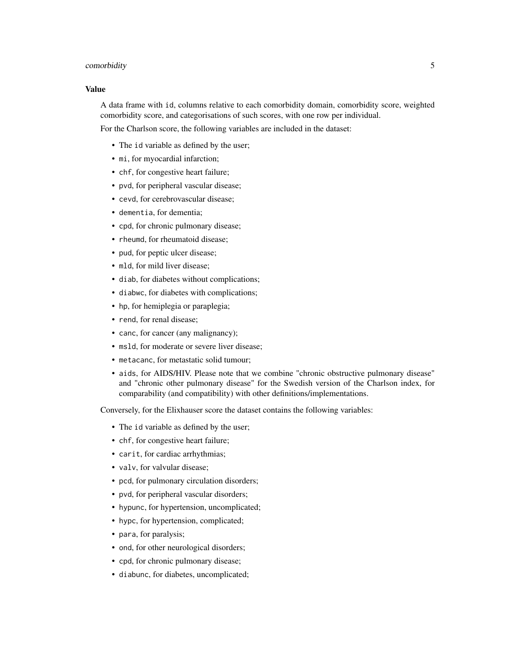#### comorbidity 5

#### Value

A data frame with id, columns relative to each comorbidity domain, comorbidity score, weighted comorbidity score, and categorisations of such scores, with one row per individual.

For the Charlson score, the following variables are included in the dataset:

- The id variable as defined by the user;
- mi, for myocardial infarction;
- chf, for congestive heart failure;
- pvd, for peripheral vascular disease;
- cevd, for cerebrovascular disease;
- dementia, for dementia;
- cpd, for chronic pulmonary disease;
- rheumd, for rheumatoid disease;
- pud, for peptic ulcer disease;
- mld, for mild liver disease;
- diab, for diabetes without complications;
- diabwc, for diabetes with complications;
- hp, for hemiplegia or paraplegia;
- rend, for renal disease;
- canc, for cancer (any malignancy);
- msld, for moderate or severe liver disease;
- metacanc, for metastatic solid tumour;
- aids, for AIDS/HIV. Please note that we combine "chronic obstructive pulmonary disease" and "chronic other pulmonary disease" for the Swedish version of the Charlson index, for comparability (and compatibility) with other definitions/implementations.

Conversely, for the Elixhauser score the dataset contains the following variables:

- The id variable as defined by the user;
- chf, for congestive heart failure;
- carit, for cardiac arrhythmias;
- valv, for valvular disease;
- pcd, for pulmonary circulation disorders;
- pvd, for peripheral vascular disorders;
- hypunc, for hypertension, uncomplicated;
- hypc, for hypertension, complicated;
- para, for paralysis;
- ond, for other neurological disorders;
- cpd, for chronic pulmonary disease;
- diabunc, for diabetes, uncomplicated;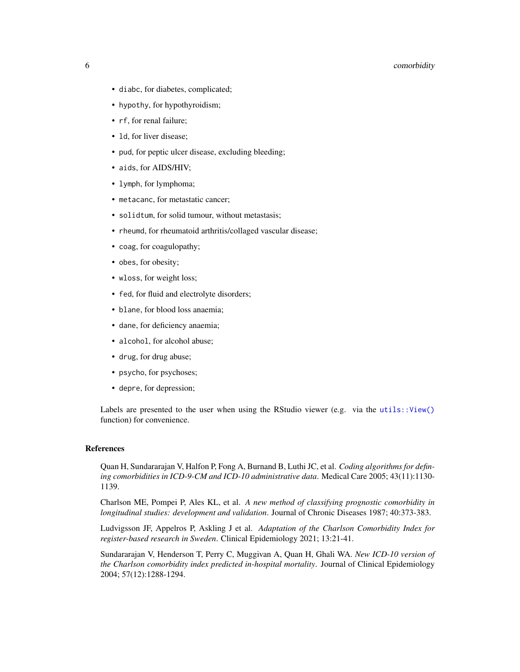#### <span id="page-5-0"></span>6 comorbidity

- diabc, for diabetes, complicated;
- hypothy, for hypothyroidism;
- rf, for renal failure;
- 1d, for liver disease;
- pud, for peptic ulcer disease, excluding bleeding;
- aids, for AIDS/HIV;
- lymph, for lymphoma;
- metacanc, for metastatic cancer;
- solidtum, for solid tumour, without metastasis;
- rheumd, for rheumatoid arthritis/collaged vascular disease;
- coag, for coagulopathy;
- obes, for obesity;
- wloss, for weight loss;
- fed, for fluid and electrolyte disorders;
- blane, for blood loss anaemia;
- dane, for deficiency anaemia;
- alcohol, for alcohol abuse;
- drug, for drug abuse;
- psycho, for psychoses;
- depre, for depression;

Labels are presented to the user when using the RStudio viewer (e.g. via the utils:: $View()$ ) function) for convenience.

#### References

Quan H, Sundararajan V, Halfon P, Fong A, Burnand B, Luthi JC, et al. *Coding algorithms for defining comorbidities in ICD-9-CM and ICD-10 administrative data*. Medical Care 2005; 43(11):1130- 1139.

Charlson ME, Pompei P, Ales KL, et al. *A new method of classifying prognostic comorbidity in longitudinal studies: development and validation*. Journal of Chronic Diseases 1987; 40:373-383.

Ludvigsson JF, Appelros P, Askling J et al. *Adaptation of the Charlson Comorbidity Index for register-based research in Sweden*. Clinical Epidemiology 2021; 13:21-41.

Sundararajan V, Henderson T, Perry C, Muggivan A, Quan H, Ghali WA. *New ICD-10 version of the Charlson comorbidity index predicted in-hospital mortality*. Journal of Clinical Epidemiology 2004; 57(12):1288-1294.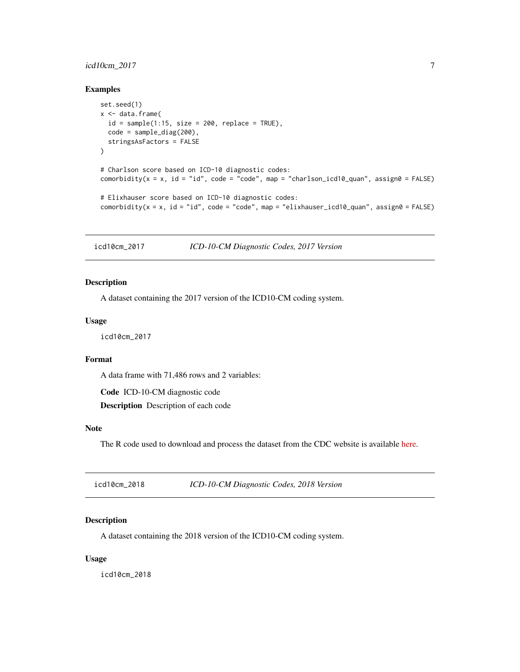#### <span id="page-6-0"></span>icd10cm\_2017 7

#### Examples

```
set.seed(1)
x < - data.frame(
  id = sample(1:15, size = 200, replace = TRUE),code = sample_diag(200),
  stringsAsFactors = FALSE
\mathcal{L}# Charlson score based on ICD-10 diagnostic codes:
comorbidity(x = x, id = "id", code = "code", map = "charlson_icd10_quan", assign0 = FALSE)
# Elixhauser score based on ICD-10 diagnostic codes:
comorbidity(x = x, id = "id", code = "code", map = "elixhauser_icd10_quan", assign0 = FALSE)
```
icd10cm\_2017 *ICD-10-CM Diagnostic Codes, 2017 Version*

#### Description

A dataset containing the 2017 version of the ICD10-CM coding system.

#### Usage

icd10cm\_2017

#### Format

A data frame with 71,486 rows and 2 variables:

Code ICD-10-CM diagnostic code Description Description of each code

#### Note

The R code used to download and process the dataset from the CDC website is available [here.](https://raw.githubusercontent.com/ellessenne/comorbidity/master/data-raw/make-data.R)

| icd10cm_2018 | ICD-10-CM Diagnostic Codes, 2018 Version |  |
|--------------|------------------------------------------|--|
|--------------|------------------------------------------|--|

#### Description

A dataset containing the 2018 version of the ICD10-CM coding system.

#### Usage

icd10cm\_2018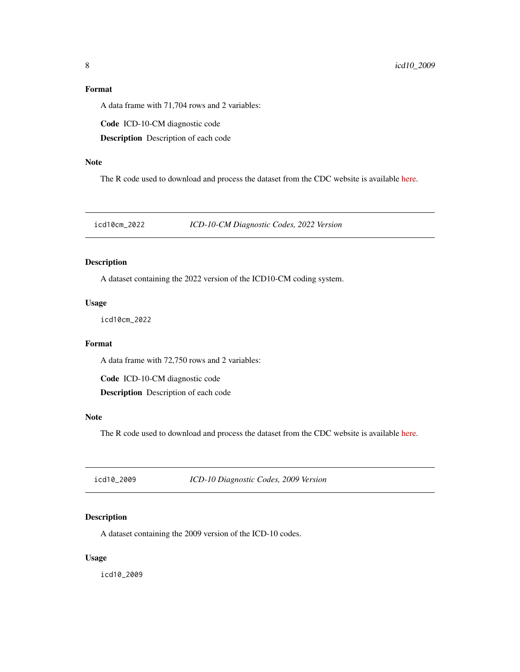#### <span id="page-7-0"></span>Format

A data frame with 71,704 rows and 2 variables:

Code ICD-10-CM diagnostic code

Description Description of each code

#### Note

The R code used to download and process the dataset from the CDC website is available [here.](https://raw.githubusercontent.com/ellessenne/comorbidity/master/data-raw/make-data.R)

icd10cm\_2022 *ICD-10-CM Diagnostic Codes, 2022 Version*

#### Description

A dataset containing the 2022 version of the ICD10-CM coding system.

#### Usage

icd10cm\_2022

#### Format

A data frame with 72,750 rows and 2 variables:

Code ICD-10-CM diagnostic code

Description Description of each code

#### Note

The R code used to download and process the dataset from the CDC website is available [here.](https://raw.githubusercontent.com/ellessenne/comorbidity/master/data-raw/make-data.R)

<span id="page-7-1"></span>icd10\_2009 *ICD-10 Diagnostic Codes, 2009 Version*

#### Description

A dataset containing the 2009 version of the ICD-10 codes.

#### Usage

icd10\_2009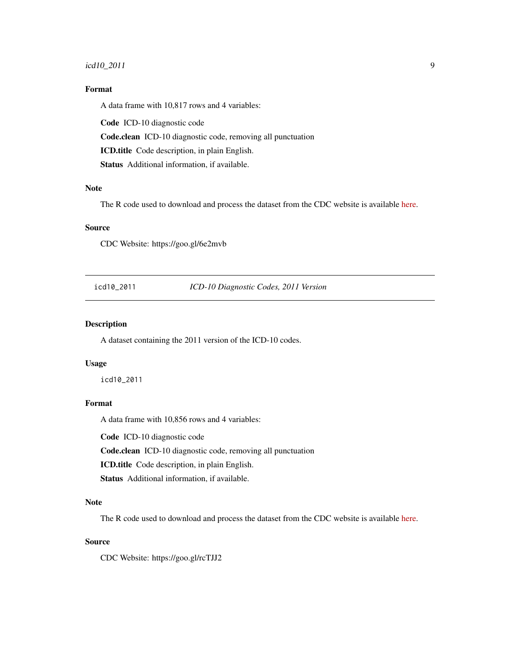#### <span id="page-8-0"></span>icd10\_2011 9

#### Format

A data frame with 10,817 rows and 4 variables:

Code ICD-10 diagnostic code

Code.clean ICD-10 diagnostic code, removing all punctuation

ICD.title Code description, in plain English.

Status Additional information, if available.

#### Note

The R code used to download and process the dataset from the CDC website is available [here.](https://raw.githubusercontent.com/ellessenne/comorbidity/master/data-raw/make-data.R)

#### Source

CDC Website: https://goo.gl/6e2mvb

<span id="page-8-1"></span>icd10\_2011 *ICD-10 Diagnostic Codes, 2011 Version*

#### Description

A dataset containing the 2011 version of the ICD-10 codes.

#### Usage

icd10\_2011

#### Format

A data frame with 10,856 rows and 4 variables:

Code ICD-10 diagnostic code

Code.clean ICD-10 diagnostic code, removing all punctuation

ICD.title Code description, in plain English.

Status Additional information, if available.

#### Note

The R code used to download and process the dataset from the CDC website is available [here.](https://raw.githubusercontent.com/ellessenne/comorbidity/master/data-raw/make-data.R)

#### Source

CDC Website: https://goo.gl/rcTJJ2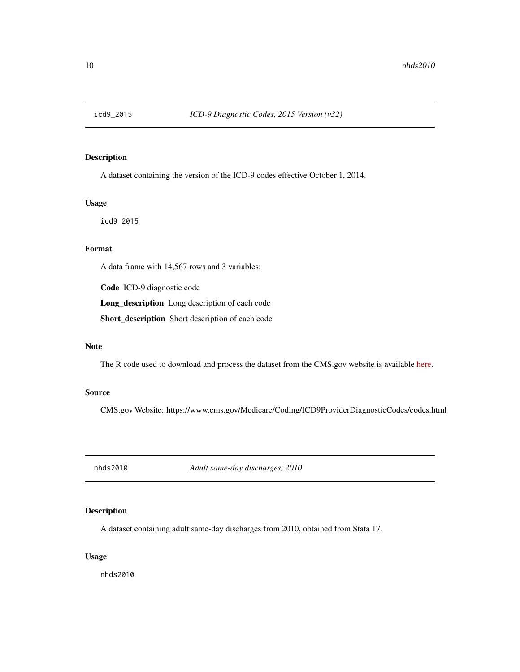<span id="page-9-1"></span><span id="page-9-0"></span>

#### Description

A dataset containing the version of the ICD-9 codes effective October 1, 2014.

#### Usage

icd9\_2015

#### Format

A data frame with 14,567 rows and 3 variables:

Code ICD-9 diagnostic code

Long\_description Long description of each code

Short\_description Short description of each code

#### Note

The R code used to download and process the dataset from the CMS.gov website is available [here.](https://raw.githubusercontent.com/ellessenne/comorbidity/master/data-raw/make-data.R)

#### Source

CMS.gov Website: https://www.cms.gov/Medicare/Coding/ICD9ProviderDiagnosticCodes/codes.html

nhds2010 *Adult same-day discharges, 2010*

#### Description

A dataset containing adult same-day discharges from 2010, obtained from Stata 17.

#### Usage

nhds2010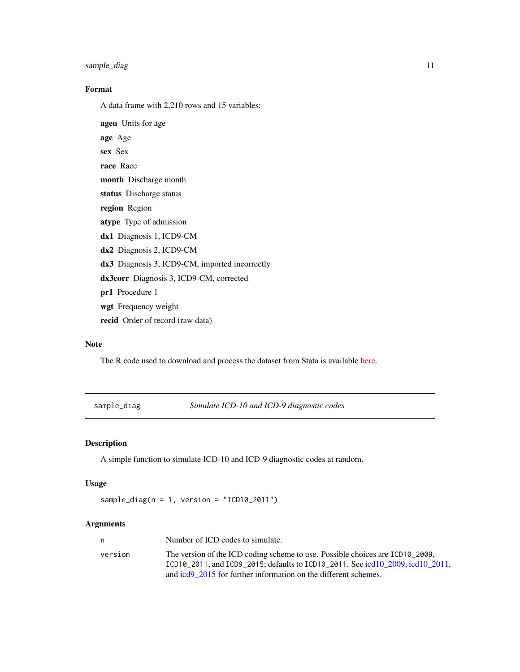<span id="page-10-0"></span>sample\_diag 11

#### Format

A data frame with 2,210 rows and 15 variables:

ageu Units for age age Age sex Sex race Race month Discharge month status Discharge status region Region atype Type of admission dx1 Diagnosis 1, ICD9-CM dx2 Diagnosis 2, ICD9-CM dx3 Diagnosis 3, ICD9-CM, imported incorrectly dx3corr Diagnosis 3, ICD9-CM, corrected pr1 Procedure 1 wgt Frequency weight recid Order of record (raw data)

#### Note

The R code used to download and process the dataset from Stata is available [here.](https://raw.githubusercontent.com/ellessenne/comorbidity/master/data-raw/make-data.R)

sample\_diag *Simulate ICD-10 and ICD-9 diagnostic codes*

#### Description

A simple function to simulate ICD-10 and ICD-9 diagnostic codes at random.

#### Usage

```
sample_diag(n = 1, version = "ICD10_2011")
```
#### Arguments

| n       | Number of ICD codes to simulate.                                               |
|---------|--------------------------------------------------------------------------------|
| version | The version of the ICD coding scheme to use. Possible choices are ICD10_2009,  |
|         | ICD10_2011, and ICD9_2015; defaults to ICD10_2011. See icd10 2009, icd10 2011. |
|         | and icd9 2015 for further information on the different schemes.                |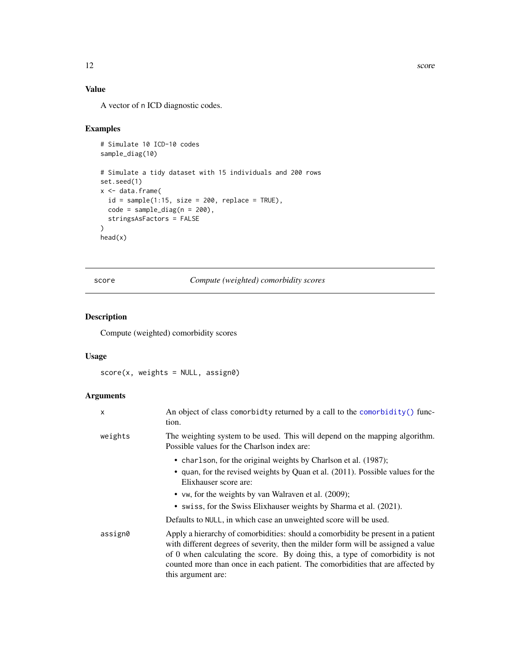#### Value

A vector of n ICD diagnostic codes.

#### Examples

```
# Simulate 10 ICD-10 codes
sample_diag(10)
# Simulate a tidy dataset with 15 individuals and 200 rows
set.seed(1)
x <- data.frame(
  id = sample(1:15, size = 200, replace = TRUE),code = sample\_diag(n = 200),
  stringsAsFactors = FALSE
)
head(x)
```
#### score *Compute (weighted) comorbidity scores*

#### Description

Compute (weighted) comorbidity scores

#### Usage

score(x, weights = NULL, assign0)

#### Arguments

| X       | An object of class comorbidty returned by a call to the comorbidity () func-<br>tion.                                                                                                                                                                                                                                                                         |
|---------|---------------------------------------------------------------------------------------------------------------------------------------------------------------------------------------------------------------------------------------------------------------------------------------------------------------------------------------------------------------|
| weights | The weighting system to be used. This will depend on the mapping algorithm.<br>Possible values for the Charlson index are:                                                                                                                                                                                                                                    |
|         | • charlson, for the original weights by Charlson et al. (1987);<br>• quan, for the revised weights by Quan et al. (2011). Possible values for the<br>Elixhauser score are:<br>• vw, for the weights by van Walraven et al. (2009);<br>• swiss, for the Swiss Elixhauser weights by Sharma et al. (2021).                                                      |
|         | Defaults to NULL, in which case an unweighted score will be used.                                                                                                                                                                                                                                                                                             |
| assign0 | Apply a hierarchy of comorbidities: should a comorbidity be present in a patient<br>with different degrees of severity, then the milder form will be assigned a value<br>of 0 when calculating the score. By doing this, a type of comorbidity is not<br>counted more than once in each patient. The comorbidities that are affected by<br>this argument are: |

<span id="page-11-0"></span>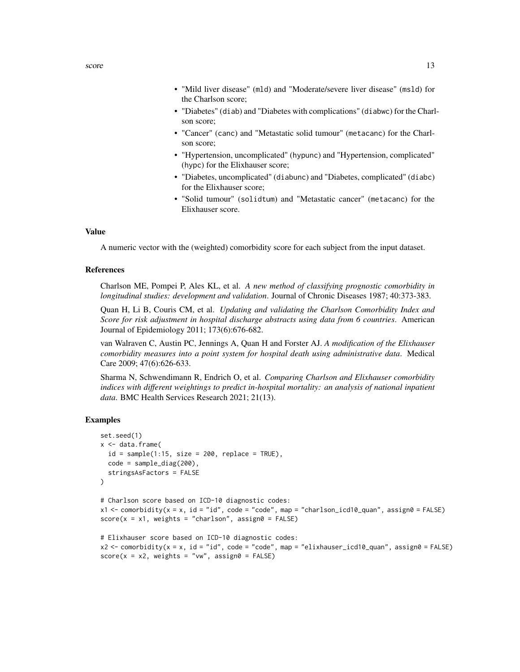- "Mild liver disease" (mld) and "Moderate/severe liver disease" (msld) for the Charlson score;
- "Diabetes" (diab) and "Diabetes with complications" (diabwc) for the Charlson score;
- "Cancer" (canc) and "Metastatic solid tumour" (metacanc) for the Charlson score;
- "Hypertension, uncomplicated" (hypunc) and "Hypertension, complicated" (hypc) for the Elixhauser score;
- "Diabetes, uncomplicated" (diabunc) and "Diabetes, complicated" (diabc) for the Elixhauser score;
- "Solid tumour" (solidtum) and "Metastatic cancer" (metacanc) for the Elixhauser score.

#### Value

A numeric vector with the (weighted) comorbidity score for each subject from the input dataset.

#### References

Charlson ME, Pompei P, Ales KL, et al. *A new method of classifying prognostic comorbidity in longitudinal studies: development and validation*. Journal of Chronic Diseases 1987; 40:373-383.

Quan H, Li B, Couris CM, et al. *Updating and validating the Charlson Comorbidity Index and Score for risk adjustment in hospital discharge abstracts using data from 6 countries*. American Journal of Epidemiology 2011; 173(6):676-682.

van Walraven C, Austin PC, Jennings A, Quan H and Forster AJ. *A modification of the Elixhauser comorbidity measures into a point system for hospital death using administrative data*. Medical Care 2009; 47(6):626-633.

Sharma N, Schwendimann R, Endrich O, et al. *Comparing Charlson and Elixhauser comorbidity indices with different weightings to predict in-hospital mortality: an analysis of national inpatient data*. BMC Health Services Research 2021; 21(13).

#### Examples

```
set.seed(1)
x < - data.frame(
 id = sample(1:15, size = 200, replace = TRUE),code = sample\_diag(200),
 stringsAsFactors = FALSE
)
# Charlson score based on ICD-10 diagnostic codes:
x1 \le comorbidity(x = x, id = "id", code = "code", map = "charlson_icd10_quan", assign0 = FALSE)
score(x = x1, weights = "charlson", assign0 = FALSE)# Elixhauser score based on ICD-10 diagnostic codes:
x2 < - comorbidity(x = x, id = "id", code = "code", map = "elixhauser_icd10_quan", assign0 = FALSE)
score(x = x2, weights = "vw", assign0 = FALSE)
```